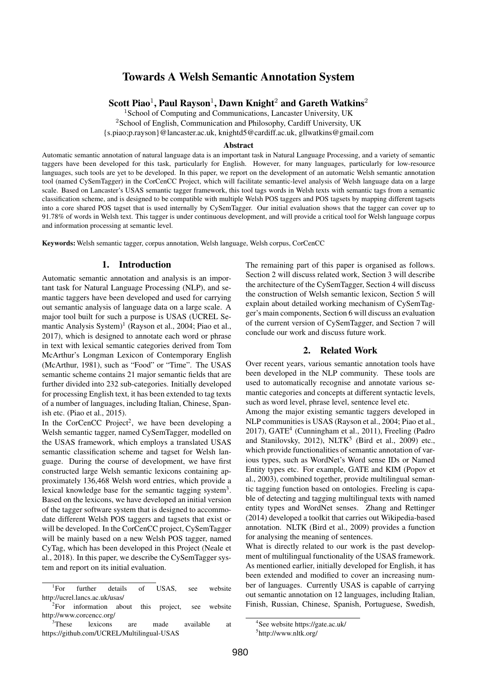# Towards A Welsh Semantic Annotation System

Scott Piao $^1$ , Paul Rayson $^1$ , Dawn Knight $^2$  and Gareth Watkins $^2$ 

<sup>1</sup> School of Computing and Communications, Lancaster University, UK <sup>2</sup>School of English, Communication and Philosophy, Cardiff University, UK {s.piao;p.rayson}@lancaster.ac.uk, knightd5@cardiff.ac.uk, gllwatkins@gmail.com

#### Abstract

Automatic semantic annotation of natural language data is an important task in Natural Language Processing, and a variety of semantic taggers have been developed for this task, particularly for English. However, for many languages, particularly for low-resource languages, such tools are yet to be developed. In this paper, we report on the development of an automatic Welsh semantic annotation tool (named CySemTagger) in the CorCenCC Project, which will facilitate semantic-level analysis of Welsh language data on a large scale. Based on Lancaster's USAS semantic tagger framework, this tool tags words in Welsh texts with semantic tags from a semantic classification scheme, and is designed to be compatible with multiple Welsh POS taggers and POS tagsets by mapping different tagsets into a core shared POS tagset that is used internally by CySemTagger. Our initial evaluation shows that the tagger can cover up to 91.78% of words in Welsh text. This tagger is under continuous development, and will provide a critical tool for Welsh language corpus and information processing at semantic level.

Keywords: Welsh semantic tagger, corpus annotation, Welsh language, Welsh corpus, CorCenCC

#### 1. Introduction

Automatic semantic annotation and analysis is an important task for Natural Language Processing (NLP), and semantic taggers have been developed and used for carrying out semantic analysis of language data on a large scale. A major tool built for such a purpose is USAS (UCREL Semantic Analysis System)<sup>1</sup> (Rayson et al., 2004; Piao et al., 2017), which is designed to annotate each word or phrase in text with lexical semantic categories derived from Tom McArthur's Longman Lexicon of Contemporary English (McArthur, 1981), such as "Food" or "Time". The USAS semantic scheme contains 21 major semantic fields that are further divided into 232 sub-categories. Initially developed for processing English text, it has been extended to tag texts of a number of languages, including Italian, Chinese, Spanish etc. (Piao et al., 2015).

In the CorCenCC Project<sup>2</sup>, we have been developing a Welsh semantic tagger, named CySemTagger, modelled on the USAS framework, which employs a translated USAS semantic classification scheme and tagset for Welsh language. During the course of development, we have first constructed large Welsh semantic lexicons containing approximately 136,468 Welsh word entries, which provide a lexical knowledge base for the semantic tagging system<sup>3</sup>. Based on the lexicons, we have developed an initial version of the tagger software system that is designed to accommodate different Welsh POS taggers and tagsets that exist or will be developed. In the CorCenCC project, CySemTagger will be mainly based on a new Welsh POS tagger, named CyTag, which has been developed in this Project (Neale et al., 2018). In this paper, we describe the CySemTagger system and report on its initial evaluation.

The remaining part of this paper is organised as follows. Section 2 will discuss related work, Section 3 will describe the architecture of the CySemTagger, Section 4 will discuss the construction of Welsh semantic lexicon, Section 5 will explain about detailed working mechanism of CySemTagger's main components, Section 6 will discuss an evaluation of the current version of CySemTagger, and Section 7 will conclude our work and discuss future work.

### 2. Related Work

Over recent years, various semantic annotation tools have been developed in the NLP community. These tools are used to automatically recognise and annotate various semantic categories and concepts at different syntactic levels, such as word level, phrase level, sentence level etc.

Among the major existing semantic taggers developed in NLP communities is USAS (Rayson et al., 2004; Piao et al., 2017), GATE<sup>4</sup> (Cunningham et al., 2011), Freeling (Padro and Stanilovsky, 2012), NLTK<sup>5</sup> (Bird et al., 2009) etc., which provide functionalities of semantic annotation of various types, such as WordNet's Word sense IDs or Named Entity types etc. For example, GATE and KIM (Popov et al., 2003), combined together, provide multilingual semantic tagging function based on ontologies. Freeling is capable of detecting and tagging multilingual texts with named entity types and WordNet senses. Zhang and Rettinger (2014) developed a toolkit that carries out Wikipedia-based annotation. NLTK (Bird et al., 2009) provides a function for analysing the meaning of sentences.

What is directly related to our work is the past development of multilingual functionality of the USAS framework. As mentioned earlier, initially developed for English, it has been extended and modified to cover an increasing number of languages. Currently USAS is capable of carrying out semantic annotation on 12 languages, including Italian, Finish, Russian, Chinese, Spanish, Portuguese, Swedish,

 ${}^{1}$ For For further details of USAS, see website http://ucrel.lancs.ac.uk/usas/

 ${}^{2}$ For information about this project, see website http://www.corcencc.org/

<sup>&</sup>lt;sup>3</sup>These lexicons are made available at https://github.com/UCREL/Multilingual-USAS

<sup>4</sup> See website https://gate.ac.uk/ 5 http://www.nltk.org/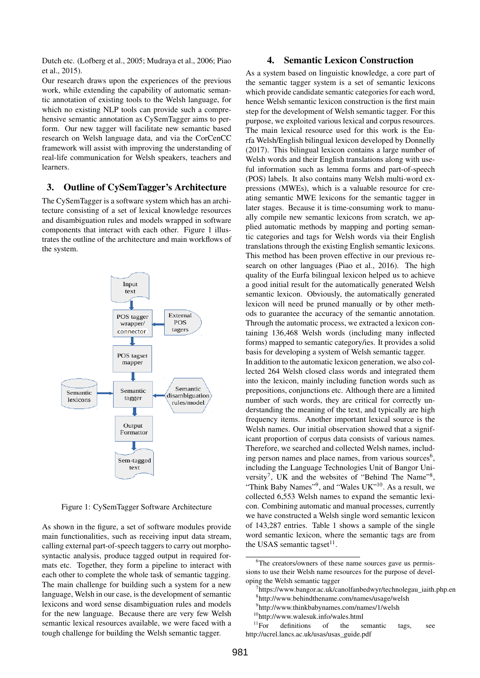Dutch etc. (Lofberg et al., 2005; Mudraya et al., 2006; Piao et al., 2015).

Our research draws upon the experiences of the previous work, while extending the capability of automatic semantic annotation of existing tools to the Welsh language, for which no existing NLP tools can provide such a comprehensive semantic annotation as CySemTagger aims to perform. Our new tagger will facilitate new semantic based research on Welsh language data, and via the CorCenCC framework will assist with improving the understanding of real-life communication for Welsh speakers, teachers and learners.

#### 3. Outline of CySemTagger's Architecture

The CySemTagger is a software system which has an architecture consisting of a set of lexical knowledge resources and disambiguation rules and models wrapped in software components that interact with each other. Figure 1 illustrates the outline of the architecture and main workflows of the system.



Figure 1: CySemTagger Software Architecture

As shown in the figure, a set of software modules provide main functionalities, such as receiving input data stream, calling external part-of-speech taggers to carry out morphosyntactic analysis, produce tagged output in required formats etc. Together, they form a pipeline to interact with each other to complete the whole task of semantic tagging. The main challenge for building such a system for a new language, Welsh in our case, is the development of semantic lexicons and word sense disambiguation rules and models for the new language. Because there are very few Welsh semantic lexical resources available, we were faced with a tough challenge for building the Welsh semantic tagger.

### 4. Semantic Lexicon Construction

As a system based on linguistic knowledge, a core part of the semantic tagger system is a set of semantic lexicons which provide candidate semantic categories for each word, hence Welsh semantic lexicon construction is the first main step for the development of Welsh semantic tagger. For this purpose, we exploited various lexical and corpus resources. The main lexical resource used for this work is the Eurfa Welsh/English bilingual lexicon developed by Donnelly (2017). This bilingual lexicon contains a large number of Welsh words and their English translations along with useful information such as lemma forms and part-of-speech (POS) labels. It also contains many Welsh multi-word expressions (MWEs), which is a valuable resource for creating semantic MWE lexicons for the semantic tagger in later stages. Because it is time-consuming work to manually compile new semantic lexicons from scratch, we applied automatic methods by mapping and porting semantic categories and tags for Welsh words via their English translations through the existing English semantic lexicons. This method has been proven effective in our previous research on other languages (Piao et al., 2016). The high quality of the Eurfa bilingual lexicon helped us to achieve a good initial result for the automatically generated Welsh semantic lexicon. Obviously, the automatically generated lexicon will need be pruned manually or by other methods to guarantee the accuracy of the semantic annotation. Through the automatic process, we extracted a lexicon containing 136,468 Welsh words (including many inflected forms) mapped to semantic category/ies. It provides a solid basis for developing a system of Welsh semantic tagger. In addition to the automatic lexicon generation, we also collected 264 Welsh closed class words and integrated them into the lexicon, mainly including function words such as prepositions, conjunctions etc. Although there are a limited number of such words, they are critical for correctly understanding the meaning of the text, and typically are high frequency items. Another important lexical source is the Welsh names. Our initial observation showed that a significant proportion of corpus data consists of various names. Therefore, we searched and collected Welsh names, including person names and place names, from various sources $6$ , including the Language Technologies Unit of Bangor University<sup>7</sup>, UK and the websites of "Behind The Name"<sup>8</sup>, "Think Baby Names"<sup>9</sup>, and "Wales UK"<sup>10</sup>. As a result, we collected 6,553 Welsh names to expand the semantic lexicon. Combining automatic and manual processes, currently we have constructed a Welsh single word semantic lexicon of 143,287 entries. Table 1 shows a sample of the single word semantic lexicon, where the semantic tags are from

the USAS semantic tagset $11$ .

<sup>&</sup>lt;sup>6</sup>The creators/owners of these name sources gave us permissions to use their Welsh name resources for the purpose of developing the Welsh semantic tagger

<sup>7</sup> https://www.bangor.ac.uk/canolfanbedwyr/technolegau\_iaith.php.en

<sup>8</sup> http://www.behindthename.com/names/usage/welsh

<sup>9</sup> http://www.thinkbabynames.com/names/1/welsh

 $^{10}$ http://www.walesuk.info/wales.html<br> $^{11}$ For definitions of the s

definitions of the semantic tags, see http://ucrel.lancs.ac.uk/usas/usas\_guide.pdf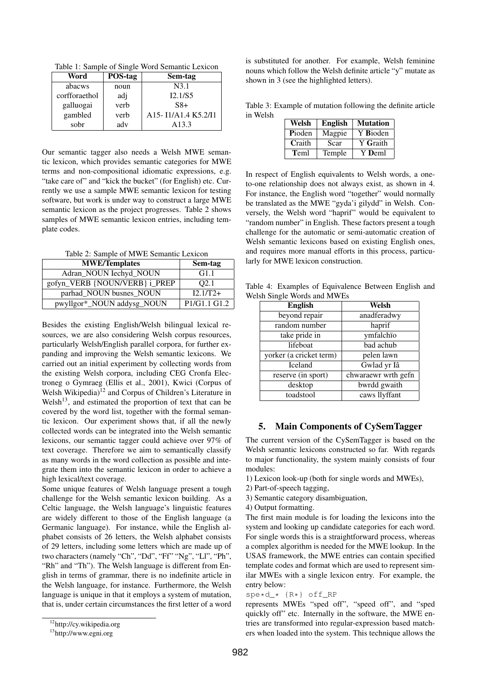Table 1: Sample of Single Word Semantic Lexicon

| Word          | POS-tag | Sem-tag                                                                            |
|---------------|---------|------------------------------------------------------------------------------------|
| abacws        | noun    | N3.1                                                                               |
| corfforaethol | adj     | I2.1/S5                                                                            |
| galluogai     | verb    | $S8+$                                                                              |
| gambled       | verb    | A <sub>15</sub> -I <sub>1</sub> /A <sub>1.4</sub> K <sub>5.2</sub> /I <sub>1</sub> |
| sobr          | adv     | A <sub>13.3</sub>                                                                  |

Our semantic tagger also needs a Welsh MWE semantic lexicon, which provides semantic categories for MWE terms and non-compositional idiomatic expressions, e.g. "take care of" and "kick the bucket" (for English) etc. Currently we use a sample MWE semantic lexicon for testing software, but work is under way to construct a large MWE semantic lexicon as the project progresses. Table 2 shows samples of MWE semantic lexicon entries, including template codes.

Table 2: Sample of MWE Semantic Lexicon

| <b>MWE/Templates</b>          | Sem-tag          |
|-------------------------------|------------------|
| Adran_NOUN Iechyd_NOUN        | G1.1             |
| gofyn_VERB {NOUN/VERB} i_PREP | O <sub>2.1</sub> |
| parhad_NOUN busnes_NOUN       | $I2.1/T2+$       |
| pwyllgor*_NOUN addysg_NOUN    | P1/G1.1 G1.2     |

Besides the existing English/Welsh bilingual lexical resources, we are also considering Welsh corpus resources, particularly Welsh/English parallel corpora, for further expanding and improving the Welsh semantic lexicons. We carried out an initial experiment by collecting words from the existing Welsh corpora, including CEG Cronfa Electroneg o Gymraeg (Ellis et al., 2001), Kwici (Corpus of Welsh Wikipedia)<sup>12</sup> and Corpus of Children's Literature in Welsh<sup>13</sup>, and estimated the proportion of text that can be covered by the word list, together with the formal semantic lexicon. Our experiment shows that, if all the newly collected words can be integrated into the Welsh semantic lexicons, our semantic tagger could achieve over 97% of text coverage. Therefore we aim to semantically classify as many words in the word collection as possible and integrate them into the semantic lexicon in order to achieve a high lexical/text coverage.

Some unique features of Welsh language present a tough challenge for the Welsh semantic lexicon building. As a Celtic language, the Welsh language's linguistic features are widely different to those of the English language (a Germanic language). For instance, while the English alphabet consists of 26 letters, the Welsh alphabet consists of 29 letters, including some letters which are made up of two characters (namely "Ch", "Dd", "Ff" "Ng", "Ll", "Ph", "Rh" and "Th"). The Welsh language is different from English in terms of grammar, there is no indefinite article in the Welsh language, for instance. Furthermore, the Welsh language is unique in that it employs a system of mutation, that is, under certain circumstances the first letter of a word is substituted for another. For example, Welsh feminine nouns which follow the Welsh definite article "y" mutate as shown in 3 (see the highlighted letters).

Table 3: Example of mutation following the definite article in Welsh

| Welsh  | <b>English</b> | <b>Mutation</b> |
|--------|----------------|-----------------|
| Pioden | Magpie         | Y Bioden        |
| Craith | Scar           | Y Graith        |
| Teml   | Temple         | Y Deml          |

In respect of English equivalents to Welsh words, a oneto-one relationship does not always exist, as shown in 4. For instance, the English word "together" would normally be translated as the MWE "gyda'i gilydd" in Welsh. Conversely, the Welsh word "haprif" would be equivalent to "random number" in English. These factors present a tough challenge for the automatic or semi-automatic creation of Welsh semantic lexicons based on existing English ones, and requires more manual efforts in this process, particularly for MWE lexicon construction.

Table 4: Examples of Equivalence Between English and Welsh Single Words and MWEs

| <b>English</b>          | Welsh               |  |
|-------------------------|---------------------|--|
| beyond repair           | anadferadwy         |  |
| random number           | haprif              |  |
| take pride in           | ymfalchïo           |  |
| lifeboat                | bad achub           |  |
| yorker (a cricket term) | pelen lawn          |  |
| <b>Iceland</b>          | Gwlad yr Iâ         |  |
| reserve (in sport)      | chwaraewr wrth gefn |  |
| desktop                 | bwrdd gwaith        |  |
| toadstool               | caws llyffant       |  |

#### 5. Main Components of CySemTagger

The current version of the CySemTagger is based on the Welsh semantic lexicons constructed so far. With regards to major functionality, the system mainly consists of four modules:

- 1) Lexicon look-up (both for single words and MWEs),
- 2) Part-of-speech tagging,
- 3) Semantic category disambiguation,
- 4) Output formatting.

The first main module is for loading the lexicons into the system and looking up candidate categories for each word. For single words this is a straightforward process, whereas a complex algorithm is needed for the MWE lookup. In the USAS framework, the MWE entries can contain specified template codes and format which are used to represent similar MWEs with a single lexicon entry. For example, the entry below:

spe\*d\_\* {R\*} off\_RP

represents MWEs "sped off", "speed off", and "sped quickly off" etc. Internally in the software, the MWE entries are transformed into regular-expression based matchers when loaded into the system. This technique allows the

<sup>12</sup>http://cy.wikipedia.org

<sup>13</sup>http://www.egni.org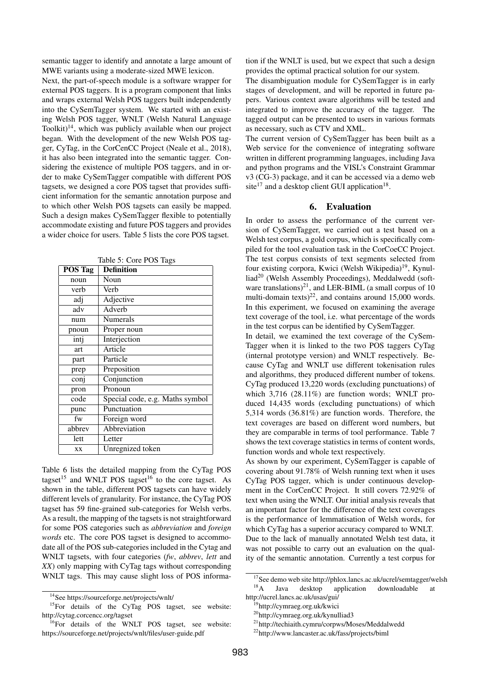semantic tagger to identify and annotate a large amount of MWE variants using a moderate-sized MWE lexicon.

Next, the part-of-speech module is a software wrapper for external POS taggers. It is a program component that links and wraps external Welsh POS taggers built independently into the CySemTagger system. We started with an existing Welsh POS tagger, WNLT (Welsh Natural Language Toolkit) $14$ , which was publicly available when our project began. With the development of the new Welsh POS tagger, CyTag, in the CorCenCC Project (Neale et al., 2018), it has also been integrated into the semantic tagger. Considering the existence of multiple POS taggers, and in order to make CySemTagger compatible with different POS tagsets, we designed a core POS tagset that provides sufficient information for the semantic annotation purpose and to which other Welsh POS tagsets can easily be mapped. Such a design makes CySemTagger flexible to potentially accommodate existing and future POS taggers and provides a wider choice for users. Table 5 lists the core POS tagset.

| POS Tag | <b>Definition</b>               |
|---------|---------------------------------|
| noun    | Noun                            |
| verb    | Verb                            |
| adj     | Adjective                       |
| adv     | Adverb                          |
| num     | <b>Numerals</b>                 |
| pnoun   | Proper noun                     |
| intj    | Interjection                    |
| art     | Article                         |
| part    | Particle                        |
| prep    | Preposition                     |
| conj    | Conjunction                     |
| pron    | Pronoun                         |
| code    | Special code, e.g. Maths symbol |
| punc    | Punctuation                     |
| fw      | Foreign word                    |
| abbrev  | Abbreviation                    |
| lett    | Letter                          |
| XX      | Unregnized token                |

Table 5: Core POS Tags

Table 6 lists the detailed mapping from the CyTag POS tagset<sup>15</sup> and WNLT POS tagset<sup>16</sup> to the core tagset. As shown in the table, different POS tagsets can have widely different levels of granularity. For instance, the CyTag POS tagset has 59 fine-grained sub-categories for Welsh verbs. As a result, the mapping of the tagsets is not straightforward for some POS categories such as *abbreviation* and *foreign words* etc. The core POS tagset is designed to accommodate all of the POS sub-categories included in the Cytag and WNLT tagsets, with four categories (*fw*, *abbrev*, *lett* and *XX*) only mapping with CyTag tags without corresponding WNLT tags. This may cause slight loss of POS information if the WNLT is used, but we expect that such a design provides the optimal practical solution for our system.

The disambiguation module for CySemTagger is in early stages of development, and will be reported in future papers. Various context aware algorithms will be tested and integrated to improve the accuracy of the tagger. The tagged output can be presented to users in various formats as necessary, such as CTV and XML.

The current version of CySemTagger has been built as a Web service for the convenience of integrating software written in different programming languages, including Java and python programs and the VISL's Constraint Grammar v3 (CG-3) package, and it can be accessed via a demo web site<sup>17</sup> and a desktop client GUI application<sup>18</sup>.

### 6. Evaluation

In order to assess the performance of the current version of CySemTagger, we carried out a test based on a Welsh test corpus, a gold corpus, which is specifically compiled for the tool evaluation task in the CorCoeCC Project. The test corpus consists of text segments selected from four existing corpora, Kwici (Welsh Wikipedia)<sup>19</sup>, Kynulliad<sup>20</sup> (Welsh Assembly Proceedings), Meddalwedd (software translations)<sup>21</sup>, and LER-BIML (a small corpus of 10 multi-domain texts)<sup>22</sup>, and contains around 15,000 words. In this experiment, we focused on examining the average text coverage of the tool, i.e. what percentage of the words in the test corpus can be identified by CySemTagger.

In detail, we examined the text coverage of the CySem-Tagger when it is linked to the two POS taggers CyTag (internal prototype version) and WNLT respectively. Because CyTag and WNLT use different tokenisation rules and algorithms, they produced different number of tokens. CyTag produced 13,220 words (excluding punctuations) of which 3,716 (28.11%) are function words; WNLT produced 14,435 words (excluding punctuations) of which 5,314 words (36.81%) are function words. Therefore, the text coverages are based on different word numbers, but they are comparable in terms of tool performance. Table 7 shows the text coverage statistics in terms of content words, function words and whole text respectively.

As shown by our experiment, CySemTagger is capable of covering about 91.78% of Welsh running text when it uses CyTag POS tagger, which is under continuous development in the CorCenCC Project. It still covers 72.92% of text when using the WNLT. Our initial analysis reveals that an important factor for the difference of the text coverages is the performance of lemmatisation of Welsh words, for which CyTag has a superior accuracy compared to WNLT. Due to the lack of manually annotated Welsh test data, it was not possible to carry out an evaluation on the quality of the semantic annotation. Currently a test corpus for

<sup>14</sup>See https://sourceforge.net/projects/wnlt/

<sup>&</sup>lt;sup>15</sup>For details of the CyTag POS tagset, see website: http://cytag.corcencc.org/tagset

<sup>&</sup>lt;sup>16</sup>For details of the WNLT POS tagset, see website: https://sourceforge.net/projects/wnlt/files/user-guide.pdf

<sup>&</sup>lt;sup>17</sup>See demo web site http://phlox.lancs.ac.uk/ucrel/semtagger/welsh<br><sup>18</sup>A Iava deskton application downloadable at Java desktop application downloadable at

http://ucrel.lancs.ac.uk/usas/gui/

<sup>19</sup>http://cymraeg.org.uk/kwici

<sup>20</sup>http://cymraeg.org.uk/kynulliad3

<sup>21</sup>http://techiaith.cymru/corpws/Moses/Meddalwedd

<sup>22</sup>http://www.lancaster.ac.uk/fass/projects/biml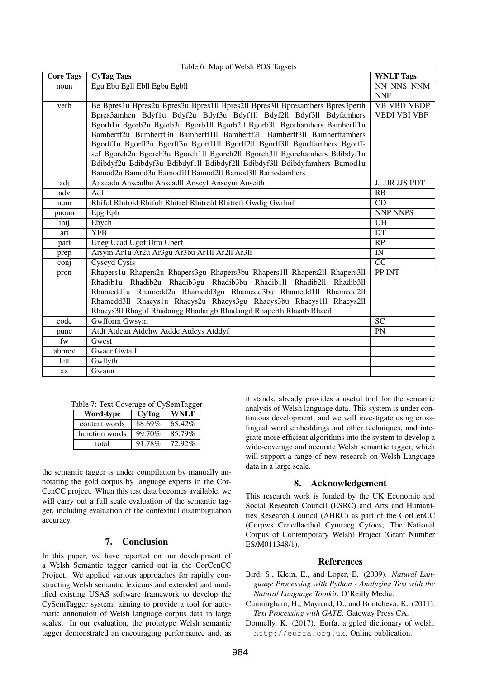| <b>Core Tags</b> | <b>CyTag Tags</b>                                                             | <b>WNLT</b> Tags       |
|------------------|-------------------------------------------------------------------------------|------------------------|
| noun             | Egu Ebu Egll Ebll Egbu Egbll                                                  | NN NNS NNM             |
|                  |                                                                               | <b>NNF</b>             |
| verb             | Be Bpres1u Bpres2u Bpres3u Bpres1ll Bpres2ll Bpres3ll Bpresamhers Bpres3perth | <b>VB VBD VBDP</b>     |
|                  | Bpres3amhen Bdyf1u Bdyf2u Bdyf3u Bdyf1ll Bdyf2ll Bdyf3ll Bdyfamhers           | <b>VBDI VBI VBF</b>    |
|                  | Bgorb1u Bgorb2u Bgorb3u Bgorb1ll Bgorb2ll Bgorb3ll Bgorbamhers Bamherff1u     |                        |
|                  | Bamherff2u Bamherff3u Bamherff1ll Bamherff2ll Bamherff3ll Bamherffamhers      |                        |
|                  | Bgorff1u Bgorff2u Bgorff3u Bgorff1ll Bgorff2ll Bgorff3ll Bgorffamhers Bgorff- |                        |
|                  | sef Bgorch2u Bgorch3u Bgorch1ll Bgorch2ll Bgorch3ll Bgorchamhers Bdibdyf1u    |                        |
|                  | Bdibdyf2u Bdibdyf3u Bdibdyf1ll Bdibdyf2ll Bdibdyf3ll Bdibdyfamhers Bamod1u    |                        |
|                  | Bamod2u Bamod3u Bamod1ll Bamod2ll Bamod3ll Bamodamhers                        |                        |
| adj              | Anscadu Anscadbu Anscadll Anscyf Anscym Anseith                               | <b>JJ JJR JJS PDT</b>  |
| adv              | Adf                                                                           | RB                     |
| num              | Rhifol Rhifold Rhifolt Rhitref Rhitrefd Rhitreft Gwdig Gwrhuf                 | $\overline{CD}$        |
| pnoun            | Epg Epb                                                                       | <b>NNP NNPS</b>        |
| intj             | Ebych                                                                         | <b>UH</b>              |
| art              | <b>YFB</b>                                                                    | DT                     |
| part             | <b>Uneg Ucad Ugof Utra Uberf</b>                                              | $\overline{RP}$        |
| prep             | Arsym Ar1u Ar2u Ar3gu Ar3bu Ar1ll Ar2ll Ar3ll                                 | $\overline{\text{IN}}$ |
| conj             | Cyscyd Cysis                                                                  | CC                     |
| pron             | Rhapers1u Rhapers2u Rhapers3gu Rhapers3bu Rhapers1ll Rhapers2ll Rhapers3ll    | PP INT                 |
|                  | Rhadib1u Rhadib2u Rhadib3gu Rhadib3bu Rhadib1ll Rhadib2ll Rhadib3ll           |                        |
|                  | Rhamedd1u Rhamedd2u Rhamedd3gu Rhamedd3bu Rhamedd1ll Rhamedd2ll               |                        |
|                  | Rhamedd3ll Rhacys1u Rhacys2u Rhacys3gu Rhacys3bu Rhacys1ll Rhacys2ll          |                        |
|                  | Rhacys311 Rhagof Rhadangg Rhadangb Rhadangd Rhaperth Rhaatb Rhacil            |                        |
| code             | <b>Gwfform Gwsym</b>                                                          | $\overline{SC}$        |
| punc             | Atdt Atdcan Atdchw Atdde Atdcys Atddyf                                        | PN                     |
| fw               | Gwest                                                                         |                        |
| abbrev           | <b>Gwacr Gwtalf</b>                                                           |                        |
| lett             | Gwllyth                                                                       |                        |
| XX.              | Gwann                                                                         |                        |

### $T<sub>1</sub>$   $\leq$   $\leq$   $M_{\text{max}}$  of Welsh POS Tags

|  | Table 7: Text Coverage of CySemTagger |  |  |
|--|---------------------------------------|--|--|
|  |                                       |  |  |

| Word-type      | CyTag  | <b>WNLT</b> |  |
|----------------|--------|-------------|--|
| content words  | 88.69% | 65.42%      |  |
| function words | 99.70% | 85.79%      |  |
| total          | 91.78% | 72.92%      |  |

the semantic tagger is under compilation by manually annotating the gold corpus by language experts in the Cor-CenCC project. When this test data becomes available, we will carry out a full scale evaluation of the semantic tagger, including evaluation of the contextual disambiguation accuracy.

### 7. Conclusion

In this paper, we have reported on our development of a Welsh Semantic tagger carried out in the CorCenCC Project. We applied various approaches for rapidly constructing Welsh semantic lexicons and extended and modified existing USAS software framework to develop the CySemTagger system, aiming to provide a tool for automatic annotation of Welsh language corpus data in large scales. In our evaluation, the prototype Welsh semantic tagger demonstrated an encouraging performance and, as

it stands, already provides a useful tool for the semantic analysis of Welsh language data. This system is under continuous development, and we will investigate using crosslingual word embeddings and other techniques, and integrate more efficient algorithms into the system to develop a wide-coverage and accurate Welsh semantic tagger, which will support a range of new research on Welsh Language data in a large scale.

### 8. Acknowledgement

This research work is funded by the UK Economic and Social Research Council (ESRC) and Arts and Humanities Research Council (AHRC) as part of the CorCenCC (Corpws Cenedlaethol Cymraeg Cyfoes; The National Corpus of Contemporary Welsh) Project (Grant Number ES/M011348/1).

## References

- Bird, S., Klein, E., and Loper, E. (2009). *Natural Language Processing with Python - Analyzing Text with the Natural Language Toolkit*. O'Reilly Media.
- Cunningham, H., Maynard, D., and Bontcheva, K. (2011). *Text Processing with GATE*. Gateway Press CA.
- Donnelly, K. (2017). Eurfa, a gpled dictionary of welsh. http://eurfa.org.uk. Online publication.